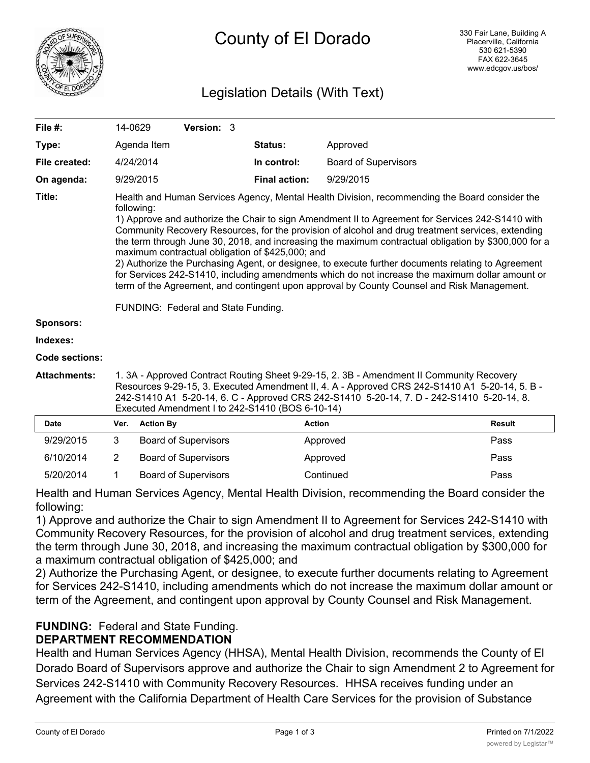

# Legislation Details (With Text)

| File #:               | 14-0629                                                                                                                                                                                                                                                                                                                                                                                                                                                                                                                                                                                                                                                                                                                                                                                                                        |                             |                  | Version: 3                  |                |                      |                             |               |
|-----------------------|--------------------------------------------------------------------------------------------------------------------------------------------------------------------------------------------------------------------------------------------------------------------------------------------------------------------------------------------------------------------------------------------------------------------------------------------------------------------------------------------------------------------------------------------------------------------------------------------------------------------------------------------------------------------------------------------------------------------------------------------------------------------------------------------------------------------------------|-----------------------------|------------------|-----------------------------|----------------|----------------------|-----------------------------|---------------|
| Type:                 | Agenda Item                                                                                                                                                                                                                                                                                                                                                                                                                                                                                                                                                                                                                                                                                                                                                                                                                    |                             |                  |                             | <b>Status:</b> | Approved             |                             |               |
| File created:         |                                                                                                                                                                                                                                                                                                                                                                                                                                                                                                                                                                                                                                                                                                                                                                                                                                | 4/24/2014                   |                  |                             |                | In control:          | <b>Board of Supervisors</b> |               |
| On agenda:            | 9/29/2015                                                                                                                                                                                                                                                                                                                                                                                                                                                                                                                                                                                                                                                                                                                                                                                                                      |                             |                  |                             |                | <b>Final action:</b> | 9/29/2015                   |               |
| Title:                | Health and Human Services Agency, Mental Health Division, recommending the Board consider the<br>following:<br>1) Approve and authorize the Chair to sign Amendment II to Agreement for Services 242-S1410 with<br>Community Recovery Resources, for the provision of alcohol and drug treatment services, extending<br>the term through June 30, 2018, and increasing the maximum contractual obligation by \$300,000 for a<br>maximum contractual obligation of \$425,000; and<br>2) Authorize the Purchasing Agent, or designee, to execute further documents relating to Agreement<br>for Services 242-S1410, including amendments which do not increase the maximum dollar amount or<br>term of the Agreement, and contingent upon approval by County Counsel and Risk Management.<br>FUNDING: Federal and State Funding. |                             |                  |                             |                |                      |                             |               |
| <b>Sponsors:</b>      |                                                                                                                                                                                                                                                                                                                                                                                                                                                                                                                                                                                                                                                                                                                                                                                                                                |                             |                  |                             |                |                      |                             |               |
| Indexes:              |                                                                                                                                                                                                                                                                                                                                                                                                                                                                                                                                                                                                                                                                                                                                                                                                                                |                             |                  |                             |                |                      |                             |               |
| <b>Code sections:</b> |                                                                                                                                                                                                                                                                                                                                                                                                                                                                                                                                                                                                                                                                                                                                                                                                                                |                             |                  |                             |                |                      |                             |               |
| <b>Attachments:</b>   | 1. 3A - Approved Contract Routing Sheet 9-29-15, 2. 3B - Amendment II Community Recovery<br>Resources 9-29-15, 3. Executed Amendment II, 4. A - Approved CRS 242-S1410 A1 5-20-14, 5. B -<br>242-S1410 A1 5-20-14, 6. C - Approved CRS 242-S1410 5-20-14, 7. D - 242-S1410 5-20-14, 8.<br>Executed Amendment I to 242-S1410 (BOS 6-10-14)                                                                                                                                                                                                                                                                                                                                                                                                                                                                                      |                             |                  |                             |                |                      |                             |               |
| <b>Date</b>           | Ver.                                                                                                                                                                                                                                                                                                                                                                                                                                                                                                                                                                                                                                                                                                                                                                                                                           |                             | <b>Action By</b> |                             |                |                      | <b>Action</b>               | <b>Result</b> |
| 9/29/2015             | 3                                                                                                                                                                                                                                                                                                                                                                                                                                                                                                                                                                                                                                                                                                                                                                                                                              |                             |                  | <b>Board of Supervisors</b> |                |                      | Approved                    | Pass          |
| 6/10/2014             | $\overline{2}$                                                                                                                                                                                                                                                                                                                                                                                                                                                                                                                                                                                                                                                                                                                                                                                                                 |                             |                  | <b>Board of Supervisors</b> |                |                      | Approved                    | Pass          |
| 5/20/2014             | 1                                                                                                                                                                                                                                                                                                                                                                                                                                                                                                                                                                                                                                                                                                                                                                                                                              | <b>Board of Supervisors</b> |                  |                             |                |                      | Continued                   | Pass          |

Health and Human Services Agency, Mental Health Division, recommending the Board consider the following:

1) Approve and authorize the Chair to sign Amendment II to Agreement for Services 242-S1410 with Community Recovery Resources, for the provision of alcohol and drug treatment services, extending the term through June 30, 2018, and increasing the maximum contractual obligation by \$300,000 for a maximum contractual obligation of \$425,000; and

2) Authorize the Purchasing Agent, or designee, to execute further documents relating to Agreement for Services 242-S1410, including amendments which do not increase the maximum dollar amount or term of the Agreement, and contingent upon approval by County Counsel and Risk Management.

# **FUNDING:** Federal and State Funding.

# **DEPARTMENT RECOMMENDATION**

Health and Human Services Agency (HHSA), Mental Health Division, recommends the County of El Dorado Board of Supervisors approve and authorize the Chair to sign Amendment 2 to Agreement for Services 242-S1410 with Community Recovery Resources. HHSA receives funding under an Agreement with the California Department of Health Care Services for the provision of Substance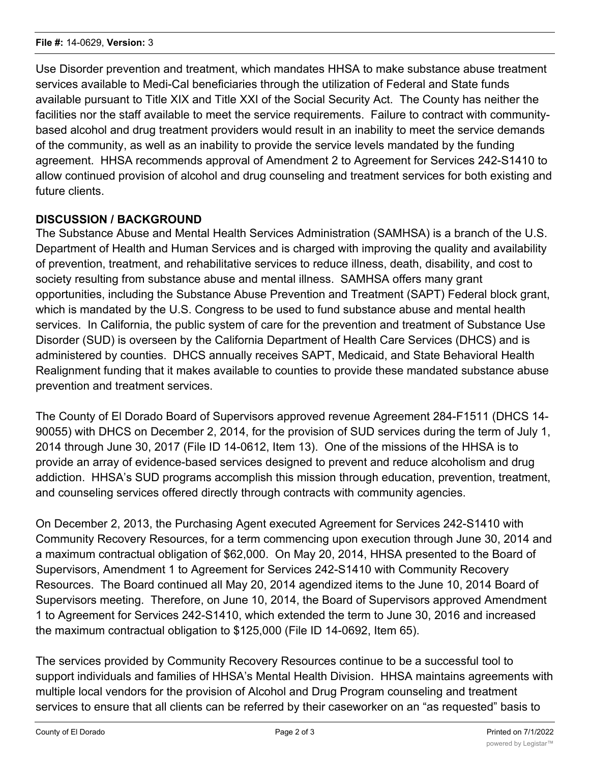Use Disorder prevention and treatment, which mandates HHSA to make substance abuse treatment services available to Medi-Cal beneficiaries through the utilization of Federal and State funds available pursuant to Title XIX and Title XXI of the Social Security Act. The County has neither the facilities nor the staff available to meet the service requirements. Failure to contract with communitybased alcohol and drug treatment providers would result in an inability to meet the service demands of the community, as well as an inability to provide the service levels mandated by the funding agreement. HHSA recommends approval of Amendment 2 to Agreement for Services 242-S1410 to allow continued provision of alcohol and drug counseling and treatment services for both existing and future clients.

# **DISCUSSION / BACKGROUND**

The Substance Abuse and Mental Health Services Administration (SAMHSA) is a branch of the U.S. Department of Health and Human Services and is charged with improving the quality and availability of prevention, treatment, and rehabilitative services to reduce illness, death, disability, and cost to society resulting from substance abuse and mental illness. SAMHSA offers many grant opportunities, including the Substance Abuse Prevention and Treatment (SAPT) Federal block grant, which is mandated by the U.S. Congress to be used to fund substance abuse and mental health services. In California, the public system of care for the prevention and treatment of Substance Use Disorder (SUD) is overseen by the California Department of Health Care Services (DHCS) and is administered by counties. DHCS annually receives SAPT, Medicaid, and State Behavioral Health Realignment funding that it makes available to counties to provide these mandated substance abuse prevention and treatment services.

The County of El Dorado Board of Supervisors approved revenue Agreement 284-F1511 (DHCS 14- 90055) with DHCS on December 2, 2014, for the provision of SUD services during the term of July 1, 2014 through June 30, 2017 (File ID 14-0612, Item 13). One of the missions of the HHSA is to provide an array of evidence-based services designed to prevent and reduce alcoholism and drug addiction. HHSA's SUD programs accomplish this mission through education, prevention, treatment, and counseling services offered directly through contracts with community agencies.

On December 2, 2013, the Purchasing Agent executed Agreement for Services 242-S1410 with Community Recovery Resources, for a term commencing upon execution through June 30, 2014 and a maximum contractual obligation of \$62,000. On May 20, 2014, HHSA presented to the Board of Supervisors, Amendment 1 to Agreement for Services 242-S1410 with Community Recovery Resources. The Board continued all May 20, 2014 agendized items to the June 10, 2014 Board of Supervisors meeting. Therefore, on June 10, 2014, the Board of Supervisors approved Amendment 1 to Agreement for Services 242-S1410, which extended the term to June 30, 2016 and increased the maximum contractual obligation to \$125,000 (File ID 14-0692, Item 65).

The services provided by Community Recovery Resources continue to be a successful tool to support individuals and families of HHSA's Mental Health Division. HHSA maintains agreements with multiple local vendors for the provision of Alcohol and Drug Program counseling and treatment services to ensure that all clients can be referred by their caseworker on an "as requested" basis to